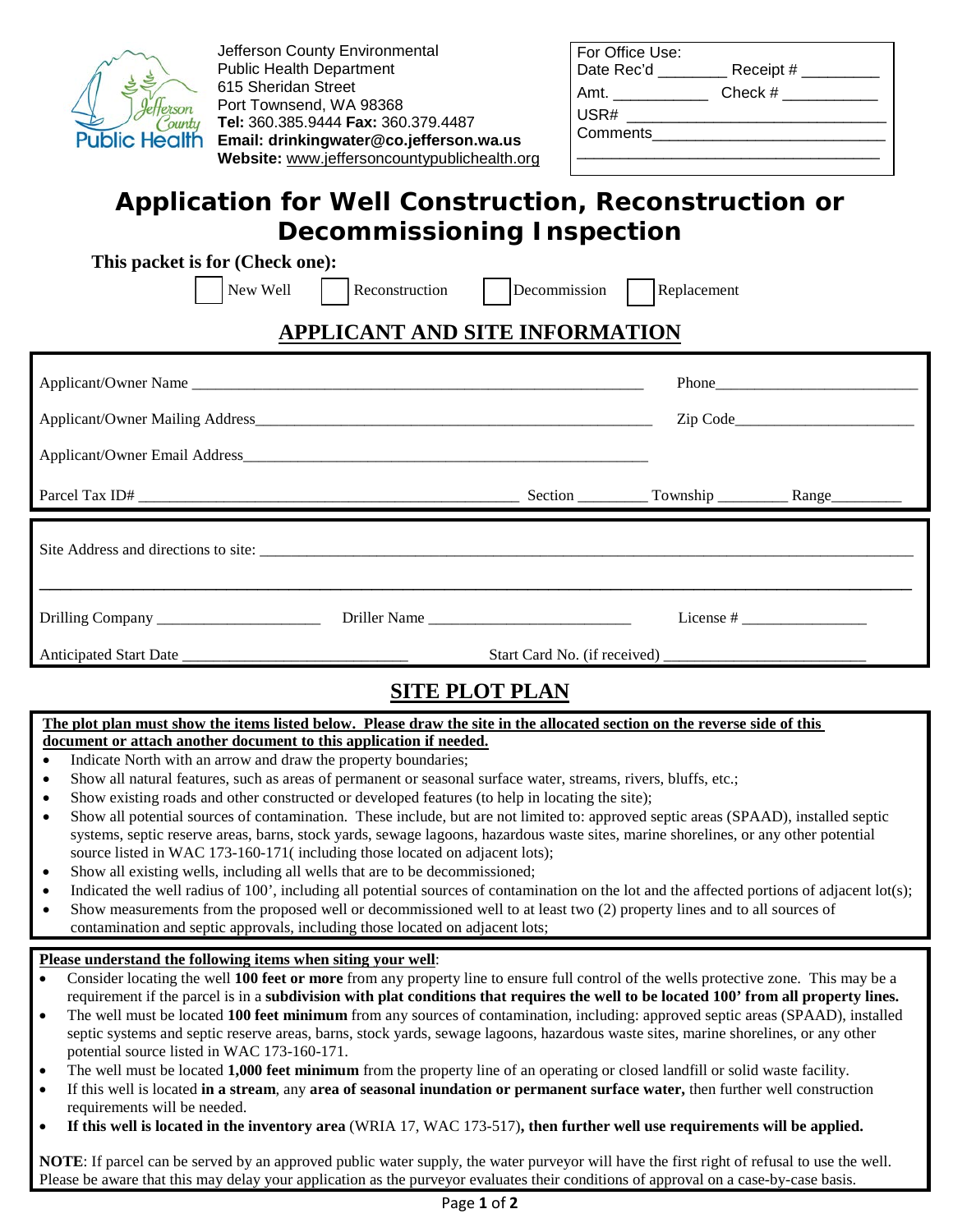

Jefferson County Environmental Public Health Department 615 Sheridan Street Port Townsend, WA 98368 **Tel:** 360.385.9444 **Fax:** 360.379.4487 **Email: drinkingwater@co.jefferson.wa.us Website:** www.jeffersoncountypublichealth.org

| Date Rec'd _____ | Receipt $#_$ |
|------------------|--------------|
| Amt.             | Check #      |
| USR#             |              |
| Comments         |              |

# **Application for Well Construction, Reconstruction or Decommissioning Inspection**

|  |  |  |  | This packet is for (Check one): |  |
|--|--|--|--|---------------------------------|--|
|--|--|--|--|---------------------------------|--|

|                                | New Well   Reconstruction   Decommission   Replacement |  |  |  |  |  |  |
|--------------------------------|--------------------------------------------------------|--|--|--|--|--|--|
| APPLICANT AND SITE INFORMATION |                                                        |  |  |  |  |  |  |
|                                |                                                        |  |  |  |  |  |  |
|                                |                                                        |  |  |  |  |  |  |
|                                |                                                        |  |  |  |  |  |  |
|                                |                                                        |  |  |  |  |  |  |
|                                |                                                        |  |  |  |  |  |  |
|                                |                                                        |  |  |  |  |  |  |
| <b>SITE PLOT PLAN</b>          |                                                        |  |  |  |  |  |  |

### **The plot plan must show the items listed below. Please draw the site in the allocated section on the reverse side of this**

### **document or attach another document to this application if needed.**

- Indicate North with an arrow and draw the property boundaries;
- Show all natural features, such as areas of permanent or seasonal surface water, streams, rivers, bluffs, etc.;
- Show existing roads and other constructed or developed features (to help in locating the site);
- Show all potential sources of contamination. These include, but are not limited to: approved septic areas (SPAAD), installed septic systems, septic reserve areas, barns, stock yards, sewage lagoons, hazardous waste sites, marine shorelines, or any other potential source listed in WAC 173-160-171( including those located on adjacent lots);
- Show all existing wells, including all wells that are to be decommissioned;
- Indicated the well radius of 100', including all potential sources of contamination on the lot and the affected portions of adjacent lot(s);
- Show measurements from the proposed well or decommissioned well to at least two (2) property lines and to all sources of contamination and septic approvals, including those located on adjacent lots;

#### **Please understand the following items when siting your well**:

- Consider locating the well **100 feet or more** from any property line to ensure full control of the wells protective zone. This may be a requirement if the parcel is in a **subdivision with plat conditions that requires the well to be located 100' from all property lines.**
- The well must be located **100 feet minimum** from any sources of contamination, including: approved septic areas (SPAAD), installed septic systems and septic reserve areas, barns, stock yards, sewage lagoons, hazardous waste sites, marine shorelines, or any other potential source listed in WAC 173-160-171.
- The well must be located **1,000 feet minimum** from the property line of an operating or closed landfill or solid waste facility.
- If this well is located **in a stream**, any **area of seasonal inundation or permanent surface water,** then further well construction requirements will be needed.
- **If this well is located in the inventory area** (WRIA 17, WAC 173-517)**, then further well use requirements will be applied.**

**NOTE**: If parcel can be served by an approved public water supply, the water purveyor will have the first right of refusal to use the well. Please be aware that this may delay your application as the purveyor evaluates their conditions of approval on a case-by-case basis.